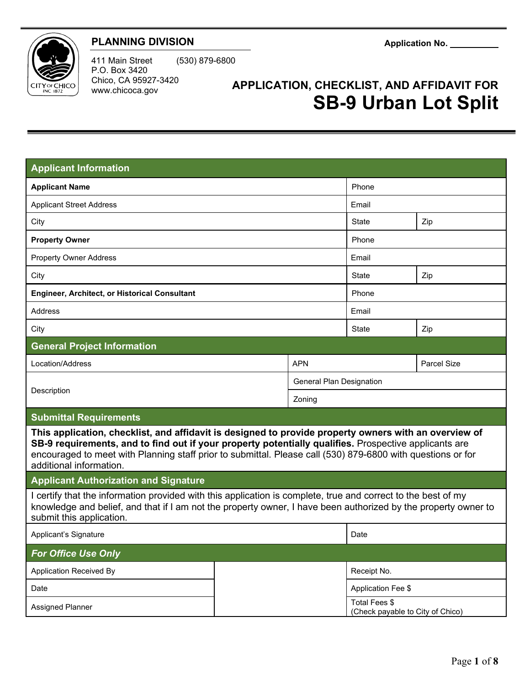

## **PLANNING DIVISION**

411 Main Street (530) 879-6800 P.O. Box 3420 Chico, CA 95927-3420 www.chicoca.gov

# **APPLICATION, CHECKLIST, AND AFFIDAVIT FOR SB-9 Urban Lot Split**

| <b>Applicant Information</b>                                                                                                                                                                                                                                                                                                                             |  |                                  |                                                   |     |
|----------------------------------------------------------------------------------------------------------------------------------------------------------------------------------------------------------------------------------------------------------------------------------------------------------------------------------------------------------|--|----------------------------------|---------------------------------------------------|-----|
| <b>Applicant Name</b>                                                                                                                                                                                                                                                                                                                                    |  |                                  | Phone                                             |     |
| <b>Applicant Street Address</b>                                                                                                                                                                                                                                                                                                                          |  |                                  | Email                                             |     |
| City                                                                                                                                                                                                                                                                                                                                                     |  |                                  | <b>State</b>                                      | Zip |
| <b>Property Owner</b>                                                                                                                                                                                                                                                                                                                                    |  |                                  | Phone                                             |     |
| <b>Property Owner Address</b>                                                                                                                                                                                                                                                                                                                            |  |                                  | Email                                             |     |
| City                                                                                                                                                                                                                                                                                                                                                     |  |                                  | State                                             | Zip |
| <b>Engineer, Architect, or Historical Consultant</b>                                                                                                                                                                                                                                                                                                     |  |                                  | Phone                                             |     |
| Address                                                                                                                                                                                                                                                                                                                                                  |  |                                  | Email                                             |     |
| City                                                                                                                                                                                                                                                                                                                                                     |  |                                  | <b>State</b>                                      | Zip |
| <b>General Project Information</b>                                                                                                                                                                                                                                                                                                                       |  |                                  |                                                   |     |
| Location/Address                                                                                                                                                                                                                                                                                                                                         |  | <b>APN</b><br><b>Parcel Size</b> |                                                   |     |
|                                                                                                                                                                                                                                                                                                                                                          |  | General Plan Designation         |                                                   |     |
| Description                                                                                                                                                                                                                                                                                                                                              |  | Zoning                           |                                                   |     |
| <b>Submittal Requirements</b>                                                                                                                                                                                                                                                                                                                            |  |                                  |                                                   |     |
| This application, checklist, and affidavit is designed to provide property owners with an overview of<br>SB-9 requirements, and to find out if your property potentially qualifies. Prospective applicants are<br>encouraged to meet with Planning staff prior to submittal. Please call (530) 879-6800 with questions or for<br>additional information. |  |                                  |                                                   |     |
| <b>Applicant Authorization and Signature</b>                                                                                                                                                                                                                                                                                                             |  |                                  |                                                   |     |
| I certify that the information provided with this application is complete, true and correct to the best of my<br>knowledge and belief, and that if I am not the property owner, I have been authorized by the property owner to<br>submit this application.                                                                                              |  |                                  |                                                   |     |
| Applicant's Signature                                                                                                                                                                                                                                                                                                                                    |  |                                  | Date                                              |     |
| <b>For Office Use Only</b>                                                                                                                                                                                                                                                                                                                               |  |                                  |                                                   |     |
| Application Received By                                                                                                                                                                                                                                                                                                                                  |  |                                  | Receipt No.                                       |     |
| Date                                                                                                                                                                                                                                                                                                                                                     |  |                                  | Application Fee \$                                |     |
| Assigned Planner                                                                                                                                                                                                                                                                                                                                         |  |                                  | Total Fees \$<br>(Check payable to City of Chico) |     |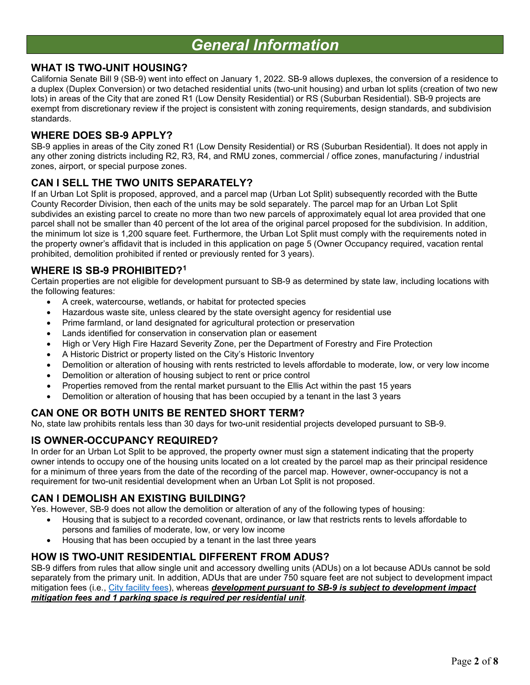# *General Information*

### **WHAT IS TWO-UNIT HOUSING?**

California Senate Bill 9 (SB-9) went into effect on January 1, 2022. SB-9 allows duplexes, the conversion of a residence to a duplex (Duplex Conversion) or two detached residential units (two-unit housing) and urban lot splits (creation of two new lots) in areas of the City that are zoned R1 (Low Density Residential) or RS (Suburban Residential). SB-9 projects are exempt from discretionary review if the project is consistent with zoning requirements, design standards, and subdivision standards.

### **WHERE DOES SB-9 APPLY?**

SB-9 applies in areas of the City zoned R1 (Low Density Residential) or RS (Suburban Residential). It does not apply in any other zoning districts including R2, R3, R4, and RMU zones, commercial / office zones, manufacturing / industrial zones, airport, or special purpose zones.

### **CAN I SELL THE TWO UNITS SEPARATELY?**

If an Urban Lot Split is proposed, approved, and a parcel map (Urban Lot Split) subsequently recorded with the Butte County Recorder Division, then each of the units may be sold separately. The parcel map for an Urban Lot Split subdivides an existing parcel to create no more than two new parcels of approximately equal lot area provided that one parcel shall not be smaller than 40 percent of the lot area of the original parcel proposed for the subdivision. In addition, the minimum lot size is 1,200 square feet. Furthermore, the Urban Lot Split must comply with the requirements noted in the property owner's affidavit that is included in this application on page 5 (Owner Occupancy required, vacation rental prohibited, demolition prohibited if rented or previously rented for 3 years).

### **WHERE IS SB-9 PROHIBITED?[1](#page-1-0)**

Certain properties are not eligible for development pursuant to SB-9 as determined by state law, including locations with the following features:

- A creek, watercourse, wetlands, or habitat for protected species
- Hazardous waste site, unless cleared by the state oversight agency for residential use
- Prime farmland, or land designated for agricultural protection or preservation
- Lands identified for conservation in conservation plan or easement
- High or Very High Fire Hazard Severity Zone, per the Department of Forestry and Fire Protection
- A Historic District or property listed on the City's Historic Inventory
- Demolition or alteration of housing with rents restricted to levels affordable to moderate, low, or very low income
- Demolition or alteration of housing subject to rent or price control
- Properties removed from the rental market pursuant to the Ellis Act within the past 15 years
- Demolition or alteration of housing that has been occupied by a tenant in the last 3 years

### **CAN ONE OR BOTH UNITS BE RENTED SHORT TERM?**

No, state law prohibits rentals less than 30 days for two-unit residential projects developed pursuant to SB-9.

### **IS OWNER-OCCUPANCY REQUIRED?**

In order for an Urban Lot Split to be approved, the property owner must sign a statement indicating that the property owner intends to occupy one of the housing units located on a lot created by the parcel map as their principal residence for a minimum of three years from the date of the recording of the parcel map. However, owner-occupancy is not a requirement for two-unit residential development when an Urban Lot Split is not proposed.

### **CAN I DEMOLISH AN EXISTING BUILDING?**

Yes. However, SB-9 does not allow the demolition or alteration of any of the following types of housing:

- Housing that is subject to a recorded covenant, ordinance, or law that restricts rents to levels affordable to persons and families of moderate, low, or very low income
- Housing that has been occupied by a tenant in the last three years

### **HOW IS TWO-UNIT RESIDENTIAL DIFFERENT FROM ADUS?**

<span id="page-1-0"></span>SB-9 differs from rules that allow single unit and accessory dwelling units (ADUs) on a lot because ADUs cannot be sold separately from the primary unit. In addition, ADUs that are under 750 square feet are not subject to development impact mitigation fees (i.e., [City facility fees\)](https://chico.ca.us/city-fee-schedules), whereas *development pursuant to SB-9 is subject to development impact mitigation fees and 1 parking space is required per residential unit*.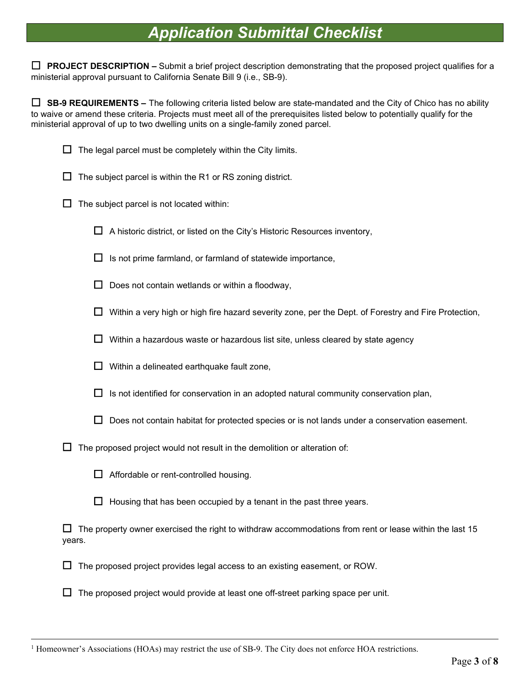## *Application Submittal Checklist*

☐ **PROJECT DESCRIPTION –** Submit a brief project description demonstrating that the proposed project qualifies for a ministerial approval pursuant to California Senate Bill 9 (i.e., SB-9).

☐ **SB-9 REQUIREMENTS –** The following criteria listed below are state-mandated and the City of Chico has no ability to waive or amend these criteria. Projects must meet all of the prerequisites listed below to potentially qualify for the ministerial approval of up to two dwelling units on a single-family zoned parcel.



 $\Box$  The legal parcel must be completely within the City limits.

 $\Box$  The subject parcel is within the R1 or RS zoning district.

- $\Box$  The subject parcel is not located within:
	- $\Box$  A historic district, or listed on the City's Historic Resources inventory,
	- $\Box$  Is not prime farmland, or farmland of statewide importance,
	- $\Box$  Does not contain wetlands or within a floodway,
	- $\Box$  Within a very high or high fire hazard severity zone, per the Dept. of Forestry and Fire Protection,
	- $\Box$  Within a hazardous waste or hazardous list site, unless cleared by state agency
	- $\Box$  Within a delineated earthquake fault zone,
	- $\Box$  Is not identified for conservation in an adopted natural community conservation plan,
	- $\Box$  Does not contain habitat for protected species or is not lands under a conservation easement.

 $\Box$  The proposed project would not result in the demolition or alteration of:

|  |  | $\Box$ Affordable or rent-controlled housing. |  |
|--|--|-----------------------------------------------|--|
|--|--|-----------------------------------------------|--|

 $\Box$  Housing that has been occupied by a tenant in the past three years.

 $\Box$  The property owner exercised the right to withdraw accommodations from rent or lease within the last 15 years.

- $\Box$  The proposed project provides legal access to an existing easement, or ROW.
- $\Box$  The proposed project would provide at least one off-street parking space per unit.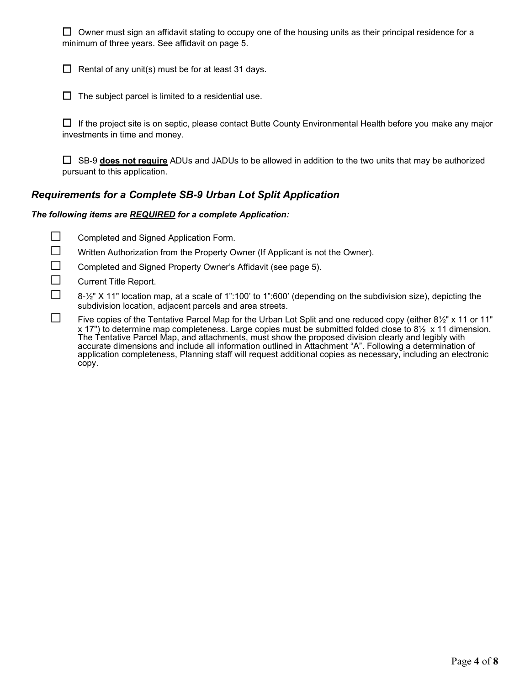☐ Owner must sign an affidavit stating to occupy one of the housing units as their principal residence for a minimum of three years. See affidavit on page 5.

 $\Box$  Rental of any unit(s) must be for at least 31 days.

 $\Box$  The subject parcel is limited to a residential use.

☐ If the project site is on septic, please contact Butte County Environmental Health before you make any major investments in time and money.

☐ SB-9 **does not require** ADUs and JADUs to be allowed in addition to the two units that may be authorized pursuant to this application.

### *Requirements for a Complete SB-9 Urban Lot Split Application*

### *The following items are REQUIRED for a complete Application:*

- ☐ Completed and Signed Application Form.
- ☐ Written Authorization from the Property Owner (If Applicant is not the Owner).
- ☐ Completed and Signed Property Owner's Affidavit (see page 5).
- □ Current Title Report.

 $\square$  8-½" X 11" location map, at a scale of 1":100' to 1":600' (depending on the subdivision size), depicting the subdivision location, adjacent parcels and area streets.

 $\Box$  Five copies of the Tentative Parcel Map for the Urban Lot Split and one reduced copy (either 8½" x 11 or 11" x 17") to determine map completeness. Large copies must be submitted folded close to 8½ x 11 dimension. The Tentative Parcel Map, and attachments, must show the proposed division clearly and legibly with accurate dimensions and include all information outlined in Attachment "A". Following a determination of application completeness, Planning staff will request additional copies as necessary, including an electronic copy.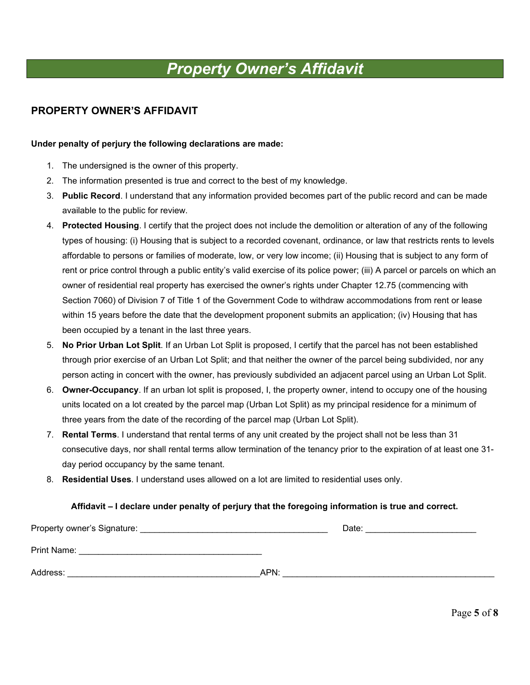# *Property Owner's Affidavit*

## **PROPERTY OWNER'S AFFIDAVIT**

### **Under penalty of perjury the following declarations are made:**

- 1. The undersigned is the owner of this property.
- 2. The information presented is true and correct to the best of my knowledge.
- 3. **Public Record**. I understand that any information provided becomes part of the public record and can be made available to the public for review.
- 4. **Protected Housing**. I certify that the project does not include the demolition or alteration of any of the following types of housing: (i) Housing that is subject to a recorded covenant, ordinance, or law that restricts rents to levels affordable to persons or families of moderate, low, or very low income; (ii) Housing that is subject to any form of rent or price control through a public entity's valid exercise of its police power; (iii) A parcel or parcels on which an owner of residential real property has exercised the owner's rights under Chapter 12.75 (commencing with Section 7060) of Division 7 of Title 1 of the Government Code to withdraw accommodations from rent or lease within 15 years before the date that the development proponent submits an application; (iv) Housing that has been occupied by a tenant in the last three years.
- 5. **No Prior Urban Lot Split**. If an Urban Lot Split is proposed, I certify that the parcel has not been established through prior exercise of an Urban Lot Split; and that neither the owner of the parcel being subdivided, nor any person acting in concert with the owner, has previously subdivided an adjacent parcel using an Urban Lot Split.
- 6. **Owner-Occupancy**. If an urban lot split is proposed, I, the property owner, intend to occupy one of the housing units located on a lot created by the parcel map (Urban Lot Split) as my principal residence for a minimum of three years from the date of the recording of the parcel map (Urban Lot Split).
- 7. **Rental Terms**. I understand that rental terms of any unit created by the project shall not be less than 31 consecutive days, nor shall rental terms allow termination of the tenancy prior to the expiration of at least one 31 day period occupancy by the same tenant.
- 8. **Residential Uses**. I understand uses allowed on a lot are limited to residential uses only.

#### **Affidavit – I declare under penalty of perjury that the foregoing information is true and correct.**

| Property owner's Signature: | Date: |  |
|-----------------------------|-------|--|
| Print Name:                 |       |  |
| Address:                    | APN:  |  |

Page **5** of **8**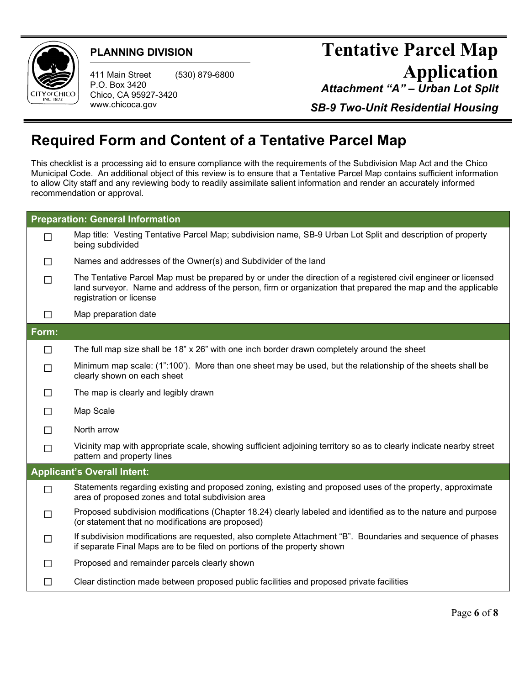

## **PLANNING DIVISION**

411 Main Street (530) 879-6800 P.O. Box 3420 Chico, CA 95927-3420 www.chicoca.gov

# **Tentative Parcel Map Application** *Attachment "A" – Urban Lot Split*

*SB-9 Two-Unit Residential Housing*

# **Required Form and Content of a Tentative Parcel Map**

This checklist is a processing aid to ensure compliance with the requirements of the Subdivision Map Act and the Chico Municipal Code. An additional object of this review is to ensure that a Tentative Parcel Map contains sufficient information to allow City staff and any reviewing body to readily assimilate salient information and render an accurately informed recommendation or approval.

| <b>Preparation: General Information</b> |                                                                                                                                                                                                                                                           |
|-----------------------------------------|-----------------------------------------------------------------------------------------------------------------------------------------------------------------------------------------------------------------------------------------------------------|
| $\Box$                                  | Map title: Vesting Tentative Parcel Map; subdivision name, SB-9 Urban Lot Split and description of property<br>being subdivided                                                                                                                           |
| П                                       | Names and addresses of the Owner(s) and Subdivider of the land                                                                                                                                                                                            |
| П                                       | The Tentative Parcel Map must be prepared by or under the direction of a registered civil engineer or licensed<br>land surveyor. Name and address of the person, firm or organization that prepared the map and the applicable<br>registration or license |
| $\Box$                                  | Map preparation date                                                                                                                                                                                                                                      |
| Form:                                   |                                                                                                                                                                                                                                                           |
| $\Box$                                  | The full map size shall be 18" x 26" with one inch border drawn completely around the sheet                                                                                                                                                               |
| $\Box$                                  | Minimum map scale: (1":100'). More than one sheet may be used, but the relationship of the sheets shall be<br>clearly shown on each sheet                                                                                                                 |
| П                                       | The map is clearly and legibly drawn                                                                                                                                                                                                                      |
| $\Box$                                  | Map Scale                                                                                                                                                                                                                                                 |
| $\Box$                                  | North arrow                                                                                                                                                                                                                                               |
| $\Box$                                  | Vicinity map with appropriate scale, showing sufficient adjoining territory so as to clearly indicate nearby street<br>pattern and property lines                                                                                                         |
|                                         | <b>Applicant's Overall Intent:</b>                                                                                                                                                                                                                        |
| $\Box$                                  | Statements regarding existing and proposed zoning, existing and proposed uses of the property, approximate<br>area of proposed zones and total subdivision area                                                                                           |
| П                                       | Proposed subdivision modifications (Chapter 18.24) clearly labeled and identified as to the nature and purpose<br>(or statement that no modifications are proposed)                                                                                       |
| П                                       | If subdivision modifications are requested, also complete Attachment "B". Boundaries and sequence of phases<br>if separate Final Maps are to be filed on portions of the property shown                                                                   |
| П                                       | Proposed and remainder parcels clearly shown                                                                                                                                                                                                              |
| П                                       | Clear distinction made between proposed public facilities and proposed private facilities                                                                                                                                                                 |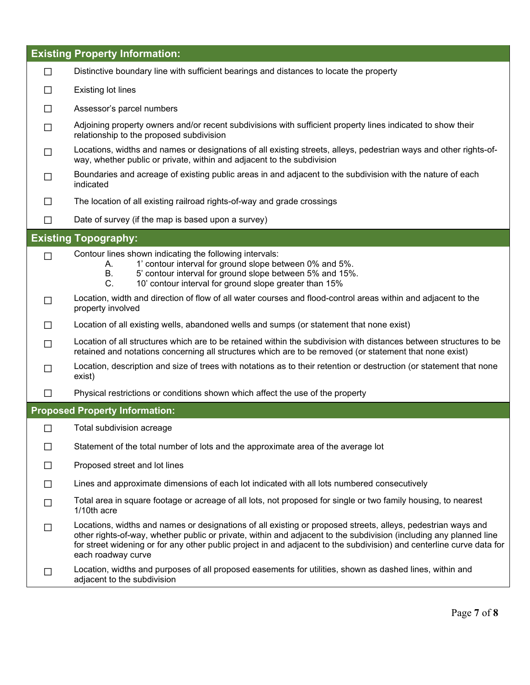|         | <b>Existing Property Information:</b>                                                                                                                                                                                                                                                                                                                                             |
|---------|-----------------------------------------------------------------------------------------------------------------------------------------------------------------------------------------------------------------------------------------------------------------------------------------------------------------------------------------------------------------------------------|
| □       | Distinctive boundary line with sufficient bearings and distances to locate the property                                                                                                                                                                                                                                                                                           |
| П       | <b>Existing lot lines</b>                                                                                                                                                                                                                                                                                                                                                         |
| $\Box$  | Assessor's parcel numbers                                                                                                                                                                                                                                                                                                                                                         |
| $\Box$  | Adjoining property owners and/or recent subdivisions with sufficient property lines indicated to show their<br>relationship to the proposed subdivision                                                                                                                                                                                                                           |
| ΙI      | Locations, widths and names or designations of all existing streets, alleys, pedestrian ways and other rights-of-<br>way, whether public or private, within and adjacent to the subdivision                                                                                                                                                                                       |
| П       | Boundaries and acreage of existing public areas in and adjacent to the subdivision with the nature of each<br>indicated                                                                                                                                                                                                                                                           |
| П       | The location of all existing railroad rights-of-way and grade crossings                                                                                                                                                                                                                                                                                                           |
| $\Box$  | Date of survey (if the map is based upon a survey)                                                                                                                                                                                                                                                                                                                                |
|         | <b>Existing Topography:</b>                                                                                                                                                                                                                                                                                                                                                       |
| П       | Contour lines shown indicating the following intervals:<br>1' contour interval for ground slope between 0% and 5%.<br>А.<br>5' contour interval for ground slope between 5% and 15%.<br>В.<br>C.<br>10' contour interval for ground slope greater than 15%                                                                                                                        |
| П       | Location, width and direction of flow of all water courses and flood-control areas within and adjacent to the<br>property involved                                                                                                                                                                                                                                                |
| $\perp$ | Location of all existing wells, abandoned wells and sumps (or statement that none exist)                                                                                                                                                                                                                                                                                          |
| П       | Location of all structures which are to be retained within the subdivision with distances between structures to be<br>retained and notations concerning all structures which are to be removed (or statement that none exist)                                                                                                                                                     |
| П       | Location, description and size of trees with notations as to their retention or destruction (or statement that none<br>exist)                                                                                                                                                                                                                                                     |
| M.      | Physical restrictions or conditions shown which affect the use of the property                                                                                                                                                                                                                                                                                                    |
|         | <b>Proposed Property Information:</b>                                                                                                                                                                                                                                                                                                                                             |
| П       | Total subdivision acreage                                                                                                                                                                                                                                                                                                                                                         |
| $\Box$  | Statement of the total number of lots and the approximate area of the average lot                                                                                                                                                                                                                                                                                                 |
| П       | Proposed street and lot lines                                                                                                                                                                                                                                                                                                                                                     |
| П       | Lines and approximate dimensions of each lot indicated with all lots numbered consecutively                                                                                                                                                                                                                                                                                       |
| П       | Total area in square footage or acreage of all lots, not proposed for single or two family housing, to nearest<br>1/10th acre                                                                                                                                                                                                                                                     |
| П       | Locations, widths and names or designations of all existing or proposed streets, alleys, pedestrian ways and<br>other rights-of-way, whether public or private, within and adjacent to the subdivision (including any planned line<br>for street widening or for any other public project in and adjacent to the subdivision) and centerline curve data for<br>each roadway curve |
|         | Location, widths and purposes of all proposed easements for utilities, shown as dashed lines, within and<br>adjacent to the subdivision                                                                                                                                                                                                                                           |